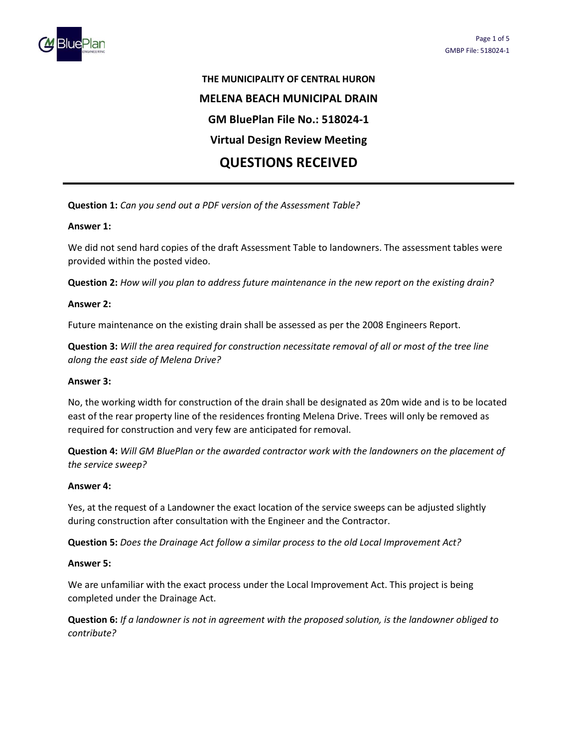

# THE MUNICIPALITY OF CENTRAL HURON MELENA BEACH MUNICIPAL DRAIN GM BluePlan File No.: 518024-1 Virtual Design Review Meeting QUESTIONS RECEIVED

Question 1: Can you send out a PDF version of the Assessment Table?

## Answer 1:

We did not send hard copies of the draft Assessment Table to landowners. The assessment tables were provided within the posted video.

Question 2: How will you plan to address future maintenance in the new report on the existing drain?

## Answer 2:

Future maintenance on the existing drain shall be assessed as per the 2008 Engineers Report.

Question 3: Will the area required for construction necessitate removal of all or most of the tree line along the east side of Melena Drive?

### Answer 3:

No, the working width for construction of the drain shall be designated as 20m wide and is to be located east of the rear property line of the residences fronting Melena Drive. Trees will only be removed as required for construction and very few are anticipated for removal.

Question 4: Will GM BluePlan or the awarded contractor work with the landowners on the placement of the service sweep?

### Answer 4:

Yes, at the request of a Landowner the exact location of the service sweeps can be adjusted slightly during construction after consultation with the Engineer and the Contractor.

Question 5: Does the Drainage Act follow a similar process to the old Local Improvement Act?

### Answer 5:

We are unfamiliar with the exact process under the Local Improvement Act. This project is being completed under the Drainage Act.

Question 6: If a landowner is not in agreement with the proposed solution, is the landowner obliged to contribute?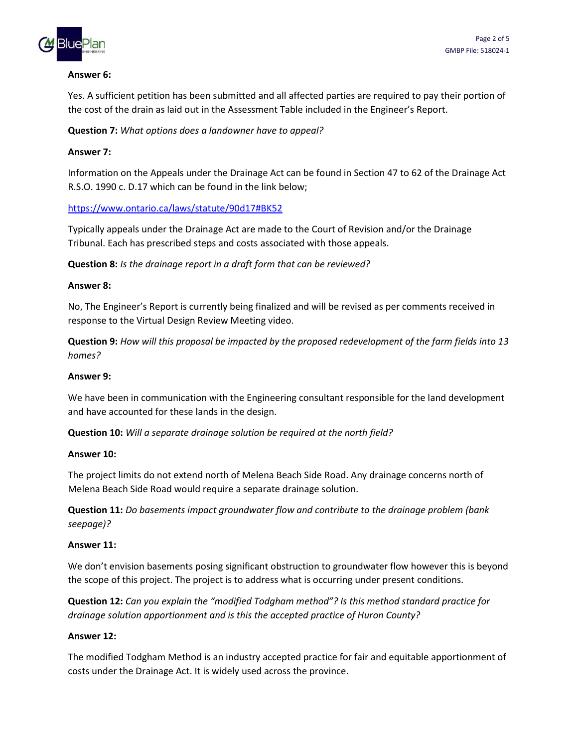

## Answer 6:

Yes. A sufficient petition has been submitted and all affected parties are required to pay their portion of the cost of the drain as laid out in the Assessment Table included in the Engineer's Report.

Question 7: What options does a landowner have to appeal?

# Answer 7:

Information on the Appeals under the Drainage Act can be found in Section 47 to 62 of the Drainage Act R.S.O. 1990 c. D.17 which can be found in the link below;

https://www.ontario.ca/laws/statute/90d17#BK52

Typically appeals under the Drainage Act are made to the Court of Revision and/or the Drainage Tribunal. Each has prescribed steps and costs associated with those appeals.

Question 8: Is the drainage report in a draft form that can be reviewed?

# Answer 8:

No, The Engineer's Report is currently being finalized and will be revised as per comments received in response to the Virtual Design Review Meeting video.

Question 9: How will this proposal be impacted by the proposed redevelopment of the farm fields into 13 homes?

# Answer 9:

We have been in communication with the Engineering consultant responsible for the land development and have accounted for these lands in the design.

Question 10: Will a separate drainage solution be required at the north field?

# Answer 10:

The project limits do not extend north of Melena Beach Side Road. Any drainage concerns north of Melena Beach Side Road would require a separate drainage solution.

Question 11: Do basements impact groundwater flow and contribute to the drainage problem (bank seepage)?

# Answer 11:

We don't envision basements posing significant obstruction to groundwater flow however this is beyond the scope of this project. The project is to address what is occurring under present conditions.

Question 12: Can you explain the "modified Todgham method"? Is this method standard practice for drainage solution apportionment and is this the accepted practice of Huron County?

# Answer 12:

The modified Todgham Method is an industry accepted practice for fair and equitable apportionment of costs under the Drainage Act. It is widely used across the province.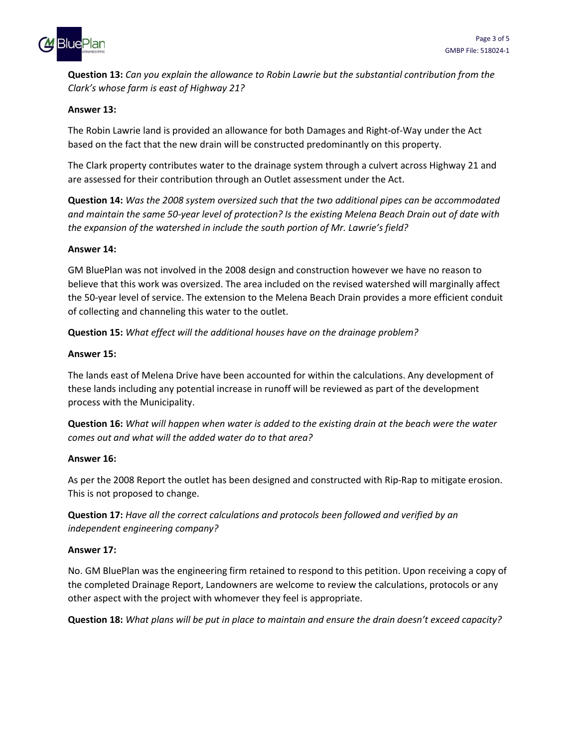

Question 13: Can you explain the allowance to Robin Lawrie but the substantial contribution from the Clark's whose farm is east of Highway 21?

# Answer 13:

The Robin Lawrie land is provided an allowance for both Damages and Right-of-Way under the Act based on the fact that the new drain will be constructed predominantly on this property.

The Clark property contributes water to the drainage system through a culvert across Highway 21 and are assessed for their contribution through an Outlet assessment under the Act.

Question 14: Was the 2008 system oversized such that the two additional pipes can be accommodated and maintain the same 50-year level of protection? Is the existing Melena Beach Drain out of date with the expansion of the watershed in include the south portion of Mr. Lawrie's field?

## Answer 14:

GM BluePlan was not involved in the 2008 design and construction however we have no reason to believe that this work was oversized. The area included on the revised watershed will marginally affect the 50-year level of service. The extension to the Melena Beach Drain provides a more efficient conduit of collecting and channeling this water to the outlet.

Question 15: What effect will the additional houses have on the drainage problem?

## Answer 15:

The lands east of Melena Drive have been accounted for within the calculations. Any development of these lands including any potential increase in runoff will be reviewed as part of the development process with the Municipality.

Question 16: What will happen when water is added to the existing drain at the beach were the water comes out and what will the added water do to that area?

### Answer 16:

As per the 2008 Report the outlet has been designed and constructed with Rip-Rap to mitigate erosion. This is not proposed to change.

Question 17: Have all the correct calculations and protocols been followed and verified by an independent engineering company?

### Answer 17:

No. GM BluePlan was the engineering firm retained to respond to this petition. Upon receiving a copy of the completed Drainage Report, Landowners are welcome to review the calculations, protocols or any other aspect with the project with whomever they feel is appropriate.

Question 18: What plans will be put in place to maintain and ensure the drain doesn't exceed capacity?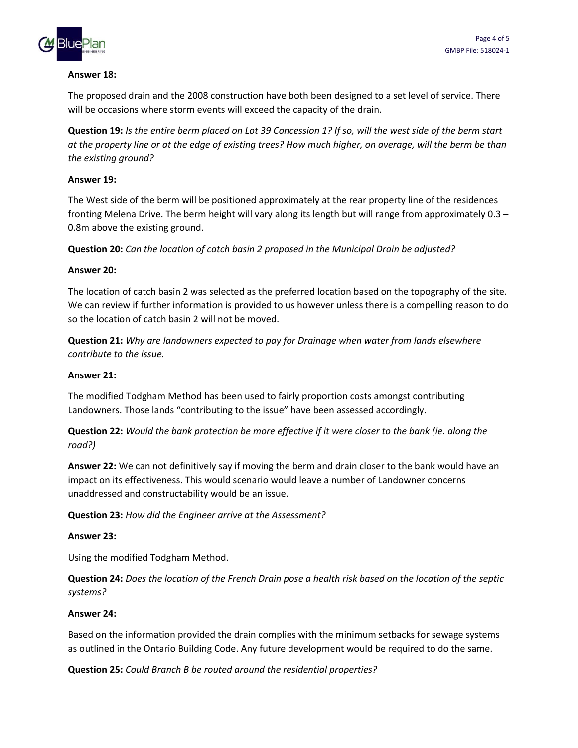

## Answer 18:

The proposed drain and the 2008 construction have both been designed to a set level of service. There will be occasions where storm events will exceed the capacity of the drain.

Question 19: Is the entire berm placed on Lot 39 Concession 1? If so, will the west side of the berm start at the property line or at the edge of existing trees? How much higher, on average, will the berm be than the existing ground?

# Answer 19:

The West side of the berm will be positioned approximately at the rear property line of the residences fronting Melena Drive. The berm height will vary along its length but will range from approximately 0.3 – 0.8m above the existing ground.

Question 20: Can the location of catch basin 2 proposed in the Municipal Drain be adjusted?

## Answer 20:

The location of catch basin 2 was selected as the preferred location based on the topography of the site. We can review if further information is provided to us however unless there is a compelling reason to do so the location of catch basin 2 will not be moved.

Question 21: Why are landowners expected to pay for Drainage when water from lands elsewhere contribute to the issue.

## Answer 21:

The modified Todgham Method has been used to fairly proportion costs amongst contributing Landowners. Those lands "contributing to the issue" have been assessed accordingly.

Question 22: Would the bank protection be more effective if it were closer to the bank (ie. along the road?)

Answer 22: We can not definitively say if moving the berm and drain closer to the bank would have an impact on its effectiveness. This would scenario would leave a number of Landowner concerns unaddressed and constructability would be an issue.

Question 23: How did the Engineer arrive at the Assessment?

### Answer 23:

Using the modified Todgham Method.

Question 24: Does the location of the French Drain pose a health risk based on the location of the septic systems?

### Answer 24:

Based on the information provided the drain complies with the minimum setbacks for sewage systems as outlined in the Ontario Building Code. Any future development would be required to do the same.

Question 25: Could Branch B be routed around the residential properties?